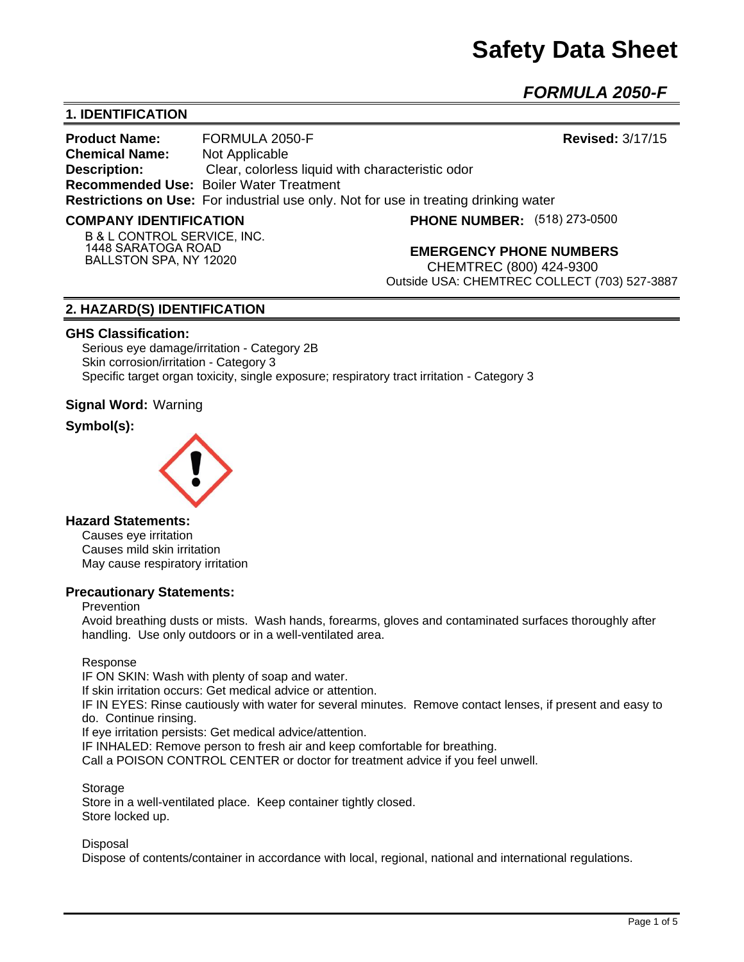# **Safety Data Sheet**

*FORMULA 2050-F* 

# **1. IDENTIFICATION**

**Product Name:** FORMULA 2050-F **Revised:** 3/17/15 **Chemical Name:** Not Applicable **Description:** Clear, colorless liquid with characteristic odor **Recommended Use:** Boiler Water Treatment **Restrictions on Use:** For industrial use only. Not for use in treating drinking water

#### **COMPANY IDENTIFICATION**

**PHONE NUMBER:** (518) 273-0500

**B & L CONTROL SERVICE, INC. 1448 SARATOGA ROAD BALLSTON SPA, NY 12020**

**EMERGENCY PHONE NUMBERS**

CHEMTREC (800) 424-9300 Outside USA: CHEMTREC COLLECT (703) 527-3887

## **2. HAZARD(S) IDENTIFICATION**

#### **GHS Classification:**

Serious eye damage/irritation - Category 2B Skin corrosion/irritation - Category 3 Specific target organ toxicity, single exposure; respiratory tract irritation - Category 3

**Signal Word:** Warning

## **Symbol(s):**



## **Hazard Statements:**

Causes eye irritation Causes mild skin irritation May cause respiratory irritation

## **Precautionary Statements:**

#### Prevention

Avoid breathing dusts or mists. Wash hands, forearms, gloves and contaminated surfaces thoroughly after handling. Use only outdoors or in a well-ventilated area.

#### Response

IF ON SKIN: Wash with plenty of soap and water. If skin irritation occurs: Get medical advice or attention. IF IN EYES: Rinse cautiously with water for several minutes. Remove contact lenses, if present and easy to do. Continue rinsing. If eye irritation persists: Get medical advice/attention. IF INHALED: Remove person to fresh air and keep comfortable for breathing.

Call a POISON CONTROL CENTER or doctor for treatment advice if you feel unwell.

Storage

Store in a well-ventilated place. Keep container tightly closed. Store locked up.

**Disposal** 

Dispose of contents/container in accordance with local, regional, national and international regulations.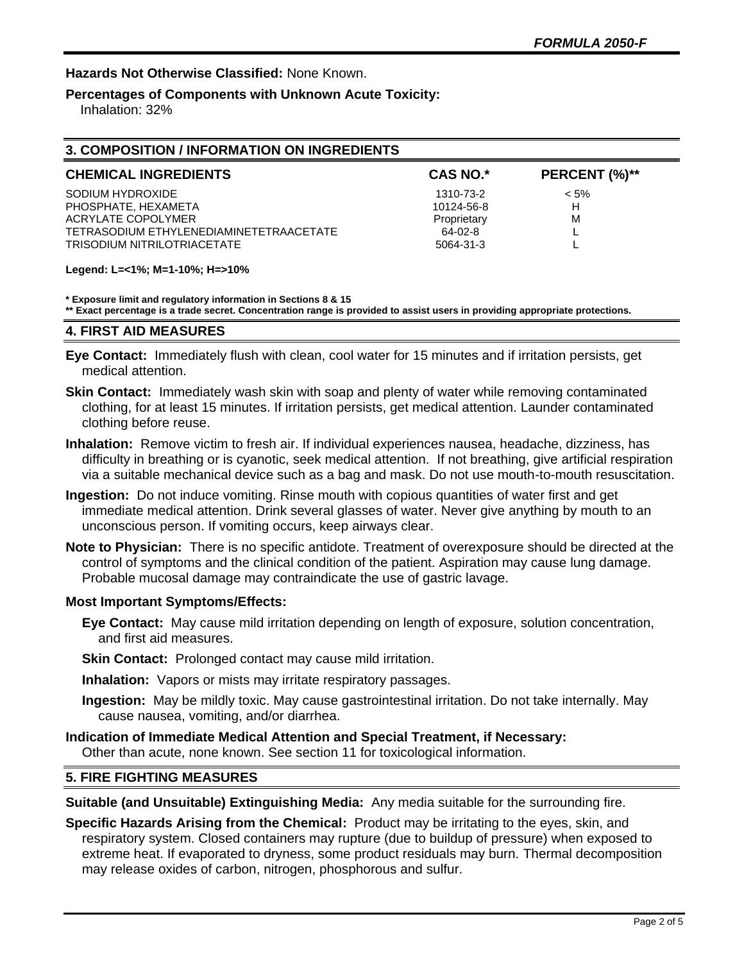## **Hazards Not Otherwise Classified:** None Known.

# **Percentages of Components with Unknown Acute Toxicity:**

Inhalation: 32%

| 3. COMPOSITION / INFORMATION ON INGREDIENTS |                 |               |  |  |
|---------------------------------------------|-----------------|---------------|--|--|
| <b>CHEMICAL INGREDIENTS</b>                 | <b>CAS NO.*</b> | PERCENT (%)** |  |  |
| SODIUM HYDROXIDE                            | 1310-73-2       | $< 5\%$       |  |  |
| PHOSPHATE, HEXAMETA                         | 10124-56-8      | н             |  |  |
| ACRYLATE COPOLYMER                          | Proprietary     | M             |  |  |
| TETRASODIUM ETHYLENEDIAMINETETRAACETATE     | 64-02-8         |               |  |  |
| TRISODIUM NITRILOTRIACETATE                 | 5064-31-3       |               |  |  |
|                                             |                 |               |  |  |

#### **Legend: L=<1%; M=1-10%; H=>10%**

#### **\* Exposure limit and regulatory information in Sections 8 & 15**

**\*\* Exact percentage is a trade secret. Concentration range is provided to assist users in providing appropriate protections.**

### **4. FIRST AID MEASURES**

- **Eye Contact:** Immediately flush with clean, cool water for 15 minutes and if irritation persists, get medical attention.
- **Skin Contact:** Immediately wash skin with soap and plenty of water while removing contaminated clothing, for at least 15 minutes. If irritation persists, get medical attention. Launder contaminated clothing before reuse.
- **Inhalation:** Remove victim to fresh air. If individual experiences nausea, headache, dizziness, has difficulty in breathing or is cyanotic, seek medical attention. If not breathing, give artificial respiration via a suitable mechanical device such as a bag and mask. Do not use mouth-to-mouth resuscitation.
- **Ingestion:** Do not induce vomiting. Rinse mouth with copious quantities of water first and get immediate medical attention. Drink several glasses of water. Never give anything by mouth to an unconscious person. If vomiting occurs, keep airways clear.
- **Note to Physician:** There is no specific antidote. Treatment of overexposure should be directed at the control of symptoms and the clinical condition of the patient. Aspiration may cause lung damage. Probable mucosal damage may contraindicate the use of gastric lavage.

#### **Most Important Symptoms/Effects:**

- **Eye Contact:** May cause mild irritation depending on length of exposure, solution concentration, and first aid measures.
- **Skin Contact:** Prolonged contact may cause mild irritation.
- **Inhalation:** Vapors or mists may irritate respiratory passages.
- **Ingestion:** May be mildly toxic. May cause gastrointestinal irritation. Do not take internally. May cause nausea, vomiting, and/or diarrhea.
- **Indication of Immediate Medical Attention and Special Treatment, if Necessary:** Other than acute, none known. See section 11 for toxicological information.

## **5. FIRE FIGHTING MEASURES**

**Suitable (and Unsuitable) Extinguishing Media:** Any media suitable for the surrounding fire.

**Specific Hazards Arising from the Chemical:** Product may be irritating to the eyes, skin, and respiratory system. Closed containers may rupture (due to buildup of pressure) when exposed to extreme heat. If evaporated to dryness, some product residuals may burn. Thermal decomposition may release oxides of carbon, nitrogen, phosphorous and sulfur.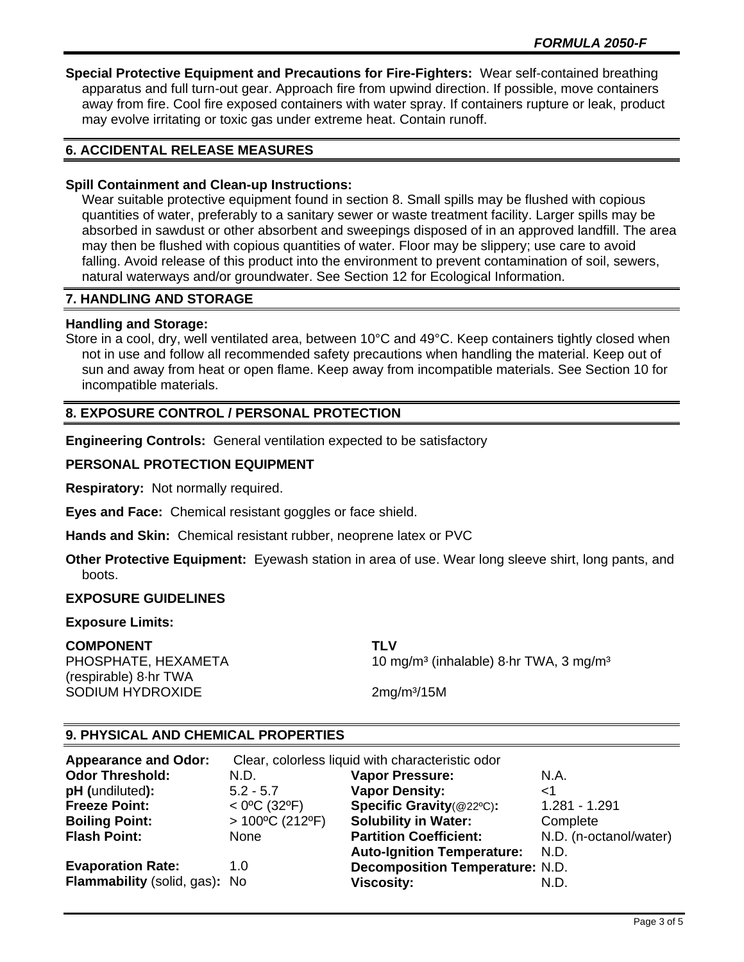**Special Protective Equipment and Precautions for Fire-Fighters:** Wear self-contained breathing apparatus and full turn-out gear. Approach fire from upwind direction. If possible, move containers away from fire. Cool fire exposed containers with water spray. If containers rupture or leak, product may evolve irritating or toxic gas under extreme heat. Contain runoff.

# **6. ACCIDENTAL RELEASE MEASURES**

## **Spill Containment and Clean-up Instructions:**

Wear suitable protective equipment found in section 8. Small spills may be flushed with copious quantities of water, preferably to a sanitary sewer or waste treatment facility. Larger spills may be absorbed in sawdust or other absorbent and sweepings disposed of in an approved landfill. The area may then be flushed with copious quantities of water. Floor may be slippery; use care to avoid falling. Avoid release of this product into the environment to prevent contamination of soil, sewers, natural waterways and/or groundwater. See Section 12 for Ecological Information.

## **7. HANDLING AND STORAGE**

### **Handling and Storage:**

Store in a cool, dry, well ventilated area, between 10°C and 49°C. Keep containers tightly closed when not in use and follow all recommended safety precautions when handling the material. Keep out of sun and away from heat or open flame. Keep away from incompatible materials. See Section 10 for incompatible materials.

## **8. EXPOSURE CONTROL / PERSONAL PROTECTION**

**Engineering Controls:** General ventilation expected to be satisfactory

## **PERSONAL PROTECTION EQUIPMENT**

**Respiratory:** Not normally required.

**Eyes and Face:** Chemical resistant goggles or face shield.

**Hands and Skin:** Chemical resistant rubber, neoprene latex or PVC

**Other Protective Equipment:** Eyewash station in area of use. Wear long sleeve shirt, long pants, and boots.

## **EXPOSURE GUIDELINES**

#### **Exposure Limits:**

#### **COMPONENT TLV**

(respirable) 8·hr TWA SODIUM HYDROXIDE 2mg/m<sup>3</sup>/15M

PHOSPHATE, HEXAMETA 10 mg/m<sup>3</sup> (inhalable) 8·hr TWA, 3 mg/m<sup>3</sup>

## **9. PHYSICAL AND CHEMICAL PROPERTIES**

| <b>Appearance and Odor:</b>   | Clear, colorless liquid with characteristic odor |                                        |                        |
|-------------------------------|--------------------------------------------------|----------------------------------------|------------------------|
| <b>Odor Threshold:</b>        | N.D.                                             | <b>Vapor Pressure:</b>                 | N.A.                   |
| pH (undiluted):               | $5.2 - 5.7$                                      | <b>Vapor Density:</b>                  | ا>                     |
| <b>Freeze Point:</b>          | $<$ 0°C (32°F)                                   | Specific Gravity(@22°C):               | 1.281 - 1.291          |
| <b>Boiling Point:</b>         | $>100^{\circ}$ C (212°F)                         | <b>Solubility in Water:</b>            | Complete               |
| <b>Flash Point:</b>           | None                                             | <b>Partition Coefficient:</b>          | N.D. (n-octanol/water) |
|                               |                                                  | <b>Auto-Ignition Temperature:</b>      | N.D.                   |
| <b>Evaporation Rate:</b>      | 1.0                                              | <b>Decomposition Temperature: N.D.</b> |                        |
| Flammability (solid, gas): No |                                                  | Viscosity:                             | N.D.                   |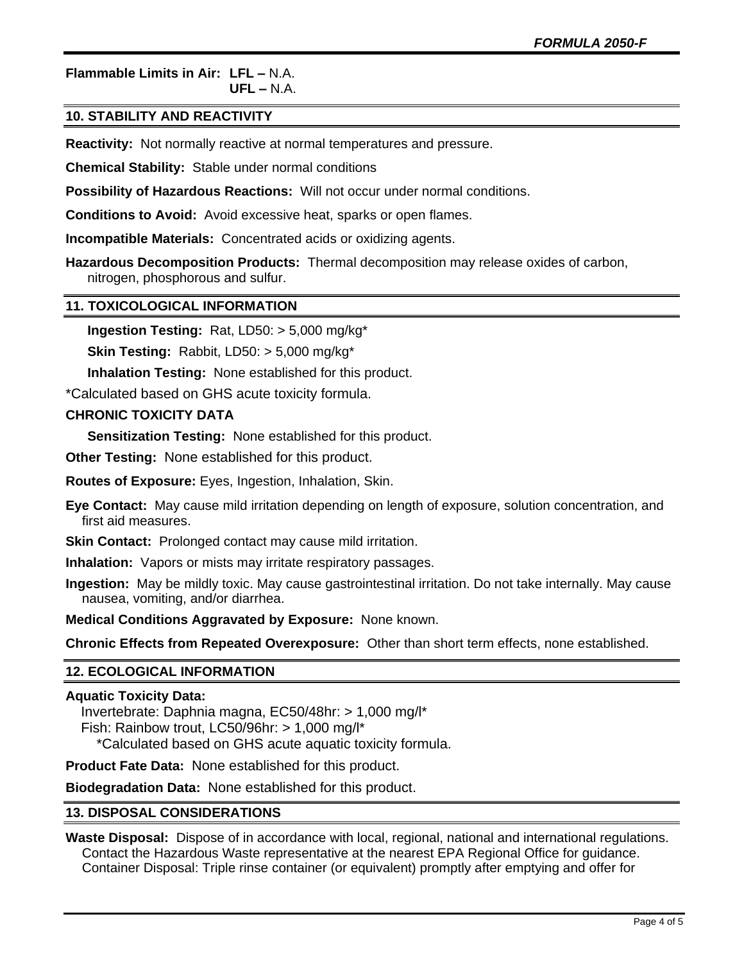# **Flammable Limits in Air: LFL –** N.A.

**UFL –** N.A.

# **10. STABILITY AND REACTIVITY**

**Reactivity:** Not normally reactive at normal temperatures and pressure.

**Chemical Stability:** Stable under normal conditions

**Possibility of Hazardous Reactions:** Will not occur under normal conditions.

**Conditions to Avoid:** Avoid excessive heat, sparks or open flames.

**Incompatible Materials:** Concentrated acids or oxidizing agents.

**Hazardous Decomposition Products:** Thermal decomposition may release oxides of carbon, nitrogen, phosphorous and sulfur.

## **11. TOXICOLOGICAL INFORMATION**

**Ingestion Testing:** Rat, LD50: > 5,000 mg/kg\*

**Skin Testing:** Rabbit, LD50: > 5,000 mg/kg\*

**Inhalation Testing:** None established for this product.

\*Calculated based on GHS acute toxicity formula.

## **CHRONIC TOXICITY DATA**

**Sensitization Testing:** None established for this product.

**Other Testing:** None established for this product.

**Routes of Exposure:** Eyes, Ingestion, Inhalation, Skin.

**Eye Contact:** May cause mild irritation depending on length of exposure, solution concentration, and first aid measures.

**Skin Contact:** Prolonged contact may cause mild irritation.

**Inhalation:** Vapors or mists may irritate respiratory passages.

**Ingestion:** May be mildly toxic. May cause gastrointestinal irritation. Do not take internally. May cause nausea, vomiting, and/or diarrhea.

**Medical Conditions Aggravated by Exposure:** None known.

**Chronic Effects from Repeated Overexposure:** Other than short term effects, none established.

## **12. ECOLOGICAL INFORMATION**

## **Aquatic Toxicity Data:**

 Invertebrate: Daphnia magna, EC50/48hr: > 1,000 mg/l\* Fish: Rainbow trout, LC50/96hr: > 1,000 mg/l\* \*Calculated based on GHS acute aquatic toxicity formula.

**Product Fate Data:** None established for this product.

**Biodegradation Data:** None established for this product.

## **13. DISPOSAL CONSIDERATIONS**

**Waste Disposal:** Dispose of in accordance with local, regional, national and international regulations. Contact the Hazardous Waste representative at the nearest EPA Regional Office for guidance. Container Disposal: Triple rinse container (or equivalent) promptly after emptying and offer for